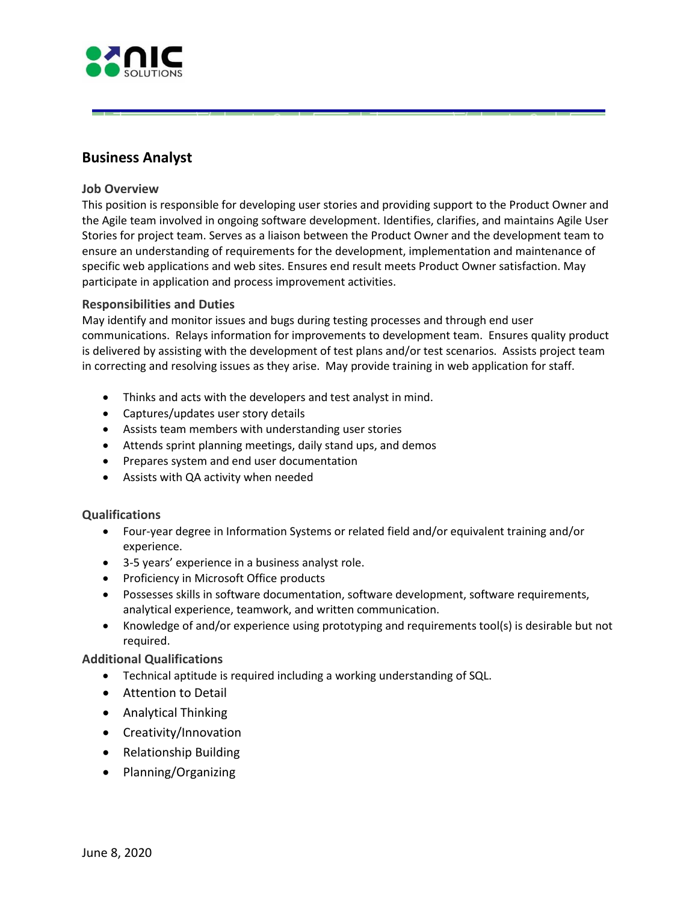

# **Business Analyst**

#### **Job Overview**

This position is responsible for developing user stories and providing support to the Product Owner and the Agile team involved in ongoing software development. Identifies, clarifies, and maintains Agile User Stories for project team. Serves as a liaison between the Product Owner and the development team to ensure an understanding of requirements for the development, implementation and maintenance of specific web applications and web sites. Ensures end result meets Product Owner satisfaction. May participate in application and process improvement activities.

#### **Responsibilities and Duties**

 May identify and monitor issues and bugs during testing processes and through end user communications. Relays information for improvements to development team. Ensures quality product is delivered by assisting with the development of test plans and/or test scenarios. Assists project team in correcting and resolving issues as they arise. May provide training in web application for staff.

- Thinks and acts with the developers and test analyst in mind.
- Captures/updates user story details

**!!!J** 

- Assists team members with understanding user stories
- Attends sprint planning meetings, daily stand ups, and demos
- Prepares system and end user documentation
- Assists with QA activity when needed

#### **Qualifications**

- Four-year degree in Information Systems or related field and/or equivalent training and/or experience.
- 3-5 years' experience in a business analyst role.
- Proficiency in Microsoft Office products
- Possesses skills in software documentation, software development, software requirements, analytical experience, teamwork, and written communication.
- Knowledge of and/or experience using prototyping and requirements tool(s) is desirable but not required.

#### **Additional Qualifications**

- Technical aptitude is required including a working understanding of SQL.
- Attention to Detail
- Analytical Thinking
- Creativity/Innovation
- Relationship Building
- Planning/Organizing